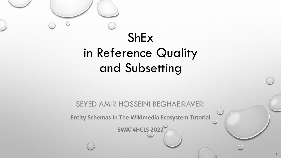# ShEx in Reference Quality and Subsetting

SEYED AMIR HOSSEINI BEGHAEIRAVERI

**Entity Schemas In The Wikimedia Ecosystem Tutorial**

**SWAT4HCLS 2022**

1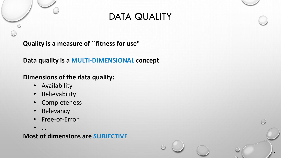## DATA QUALITY

2

**Quality is a measure of ``fitness for use"**

**Data quality is a MULTI-DIMENSIONAL concept**

**Dimensions of the data quality:**

- Availability
- Believability
- Completeness
- Relevancy
- Free-of-Error

• …

**Most of dimensions are SUBJECTIVE**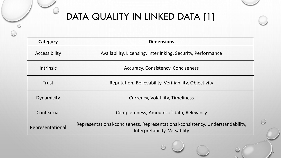## DATA QUALITY IN LINKED DATA [1]

| Category         | <b>Dimensions</b>                                                                                               |  |  |  |  |  |  |  |  |
|------------------|-----------------------------------------------------------------------------------------------------------------|--|--|--|--|--|--|--|--|
| Accessibility    | Availability, Licensing, Interlinking, Security, Performance                                                    |  |  |  |  |  |  |  |  |
| <b>Intrinsic</b> | <b>Accuracy, Consistency, Conciseness</b>                                                                       |  |  |  |  |  |  |  |  |
| <b>Trust</b>     | Reputation, Believability, Verifiability, Objectivity                                                           |  |  |  |  |  |  |  |  |
| Dynamicity       | Currency, Volatility, Timeliness                                                                                |  |  |  |  |  |  |  |  |
| Contextual       | Completeness, Amount-of-data, Relevancy                                                                         |  |  |  |  |  |  |  |  |
| Representational | Representational-conciseness, Representational-consistency, Understandability,<br>Interpretability, Versatility |  |  |  |  |  |  |  |  |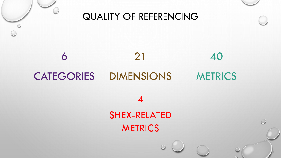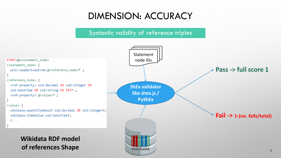## DIMENSION: ACCURACY

### Syntactic validity of reference triples

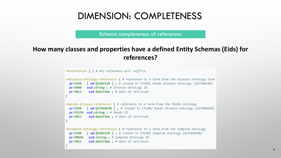Schema completeness of references

### **How many classes and properties have a defined Entity Schemas (Eids) for references?**

```
<#reference> { } # Any reference will suffice.
<#disease-ontology-reference> { # reference to a term from the disease ontology term
          \lceil wd:05282129 \rceil; # stated in \lceil P248 \rceil Mondo disease ontology \lceil 027468140 \rceilpr:P248
  pr:P699 xsd:string; # Disease Ontology ID
  pr:P813 xsd:dateTime; # Date of retrieval
<#mondo-disease-reference> { # reference to a term from the MonDo ontology
           \lceil wd:027468140 | ; # stated in [P248] Mondo disease ontology [027468140]
  pr: P248pr:P5270 xsd:string ; # Mondo ID
             xsd:dateTime ; # Date of retrieval
  pr: P813<#symptom-ontology-reference> { # reference to a term from the Symptom Ontology
           \lceil wd:05282129 | ; # stated in \lceil P248 \rceil Symptom ontology \lceil Q27468140 \rceilpr:P248
 pr:P8656 xsd:string; # Symptom Ontology ID
             xsd:dateTime ; # Date of retrieval
  pr:P813
```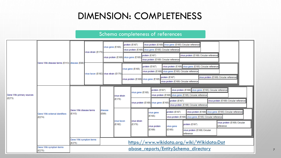### Schema completeness of references

| Gene Wiki primary sources<br>(E273) | Gene Wiki disease terms (E113) disease (E69) |                                      | virus strain (E170)                    | virus gene (E165)                      |                       | protein (E167) |                                            | virus protein (E169) virus gene (E165) Circular reference<br>virus protein (E169) virus gene (E165) Circular reference                                        |                         |                                                           |                                                                                                                        |  |                                            |  |
|-------------------------------------|----------------------------------------------|--------------------------------------|----------------------------------------|----------------------------------------|-----------------------|----------------|--------------------------------------------|---------------------------------------------------------------------------------------------------------------------------------------------------------------|-------------------------|-----------------------------------------------------------|------------------------------------------------------------------------------------------------------------------------|--|--------------------------------------------|--|
|                                     |                                              |                                      |                                        | virus protein (E169) virus gene (E165) |                       |                |                                            | protein (E167)<br>virus protein (E169) Circular reference                                                                                                     |                         |                                                           | virus protein (E169) Circular reference                                                                                |  |                                            |  |
|                                     |                                              |                                      | virus taxon (E192) virus strain (E170) |                                        |                       |                | protein (E167)<br>virus gene (E165)        |                                                                                                                                                               |                         |                                                           | virus protein (E169) virus gene (E165) Circular reference<br>virus protein (E169) virus gene (E165) Circular reference |  |                                            |  |
|                                     |                                              |                                      |                                        |                                        |                       |                | virus protein (E169) virus gene (E165)     |                                                                                                                                                               |                         | protein (E167)<br>virus protein (E169) Circular reference |                                                                                                                        |  | virus protein (E169) Circular reference    |  |
|                                     | Gene Wiki external identifiers<br>(E274)     | Gene Wiki disease terms<br>(E113)    |                                        |                                        | wirus strain          |                |                                            | virus protein (E169) virus gene (E165) Circular reference<br>protein (E167)<br>virus gene (E165)<br>virus protein (E169) virus gene (E165) Circular reference |                         |                                                           |                                                                                                                        |  |                                            |  |
|                                     |                                              |                                      |                                        |                                        | (E170)                |                |                                            | protein (E167)<br>virus protein (E169) Circular reference<br>virus protein (E169) virus gene (E165)<br>virus protein (E169) Circular reference                |                         |                                                           |                                                                                                                        |  |                                            |  |
|                                     |                                              |                                      |                                        | disease<br>(E69)                       | virus taxon<br>(E192) |                |                                            | virus gene<br>(E165)                                                                                                                                          |                         | protein (E167)                                            | virus protein (E169) virus gene (E165) Circular reference<br>virus protein (E169) virus gene (E165) Circular reference |  |                                            |  |
|                                     |                                              |                                      |                                        |                                        |                       |                | virus strain<br> E(170)                    |                                                                                                                                                               | virus protein<br>(E169) | virus gene<br>(E165)                                      | protein (E167)                                                                                                         |  | virus protein (E169) Circular<br>reference |  |
|                                     |                                              |                                      |                                        |                                        |                       |                |                                            |                                                                                                                                                               |                         |                                                           | virus protein (E169) Circular<br>reference                                                                             |  |                                            |  |
|                                     |                                              | Gene Wiki symptom terms<br>(E275)    |                                        |                                        |                       |                | https://www.wikidata.org/wiki/Wikidata:Dat |                                                                                                                                                               |                         |                                                           |                                                                                                                        |  |                                            |  |
|                                     | Gene Wiki symptom terms<br>(E275)            | abase reports/EntitySchema directory |                                        |                                        |                       |                |                                            |                                                                                                                                                               |                         |                                                           |                                                                                                                        |  |                                            |  |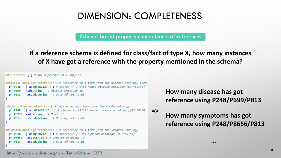Schema-based property completeness of references

**If a reference schema is defined for class/fact of type X, how many instances of X have got a reference with the property mentioned in the schema?**

<#reference> { } # Any reference will suffice.

```
<#disease-ontology-reference> { # reference to a term from the disease ontology term
            \lceil wd:05282129 ]; # stated in \lceil P248 \rceil Mondo disease ontology \lceil 027468140 \rceilpr: P248xsd:string : # Disease Ontoloay ID
 pr:P699
             xsd:dateTime ; # Date of retrieval
  pr: P813<#mondo-disease-reference> { # reference to a term from the MonDo ontology
            [ wd:027468140 ] ; # stated in [P248] Mondo disease ontology [Q27468140]
  pr: P248pr:P5270 xsd:string; # Mondo ID
 pr:P813
             xsd:dateTime ; # Date of retrieval
<#symptom-ontology-reference> { # reference to a term from the Symptom Ontology
            [ wd:05282129 ]; # stated in [P248] Symptom ontology [027468140]
  pr: P248xsd:string; # Symptom Ontology ID
 pr:P8656
             xsd:dateTime ; # Date of retrieval
  pr:P813
```
**How many disease has got reference using P248/P699/P813**

**=> How many symptoms has got reference using P248/P8656/P813**

**…**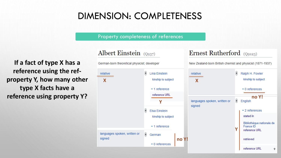Property completeness of references

Albert Einstein  $(Q937)$ 

**If a fact of type X has a reference using the refproperty Y, how many other type X facts have a reference using property Y?**

#### German-born theoretical physicist; developer New Zealand-born British chemist and physicist (1871-1937) ŝ € **Lina Einstein** Ralph H. Fowler relative relative kinship to subject **X X**  $\star$  1 reference  $\star$  0 references reference URL **no Y!** ŝ. languages spoken, written or English **Y**signed ŝ **Elsa Einstein**  $\star$  2 references stated in kinship to subject Bibliothèque nationale de  $\blacktriangleright$  1 reference France ID **Y** reference URL languages spoken, written or € German signed **no Y!** retrieved  $\star$  0 references reference URL

Ernest Rutherford (Q9123)

9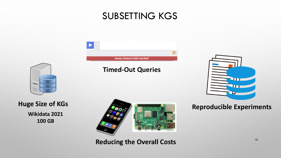### SUBSETTING KGS

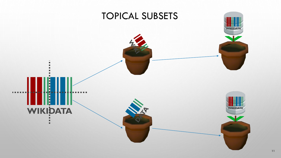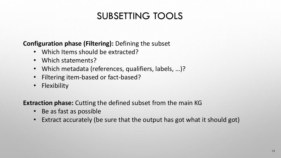## SUBSETTING TOOLS

### **Configuration phase (Filtering):** Defining the subset

- Which Items should be extracted?
- Which statements?
- Which metadata (references, qualifiers, labels, …)?
- Filtering item-based or fact-based?
- Flexibility

**Extraction phase:** Cutting the defined subset from the main KG

- Be as fast as possible
- Extract accurately (be sure that the output has got what it should got)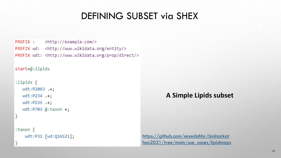## DEFINING SUBSET via SHEX

PREFIX : <http://example.com/> PREFIX wd: <http://www.wikidata.org/entity/> PREFIX wdt: <http://www.wikidata.org/prop/direct/>

### $start = @:lipids$

```
:lipids \{wdt:P2063 .+;
  wdt: P234 . +;wdt: P235 .+;wdt:P703 @:taxon +;
```

```
:taxon {
   wdt:P31 [wd:Q16521];
```
### **A Simple Lipids subset**

https://github.com/seyedahbr/biohackat [hon2021/tree/main/use\\_cases/lipidmaps](https://github.com/seyedahbr/biohackathon2021/tree/main/use_cases/lipidmaps)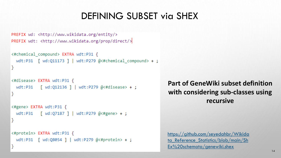## DEFINING SUBSET via SHEX

```
PREFIX wd: <http://www.wikidata.org/entity/>
PREFIX wdt: <http://www.wikidata.org/prop/direct/>
```

```
<#chemical compound> EXTRA wdt:P31 {
 wdt:P31 | wd:Q11173 | | wdt:P279 @<#chemical compound> + ;
```

```
<#disease> EXTRA wdt:P31 {
  wdt:P31 \lceil wd:Q12136 \rceil | wdt:P279 @<#disease> +;
```

```
<#gene> EXTRA wdt:P31 {
 wdt:P31 [ wd:Q7187 ] | wdt:P279 @<#gene> + ;
```

```
<#protein> EXTRA wdt:P31 {
 wdt:P31 | wd:Q8054 | | wdt:P279 @<#protein> + ;
```
### **Part of GeneWiki subset definition with considering sub-classes using recursive**

https://github.com/seyedahbr/Wikida ta Reference Statistics/blob/main/Sh Ex%20schemata/genewiki.shex